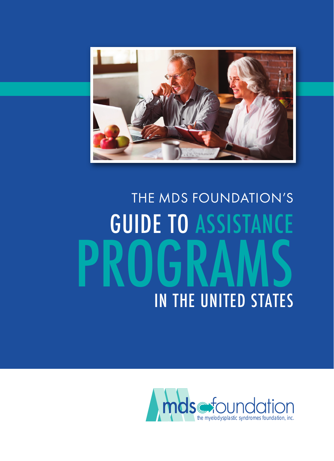

# GUIDE TO ASSISTANCE PROGRAMS THE MDS FOUNDATION'S IN THE UNITED STATES

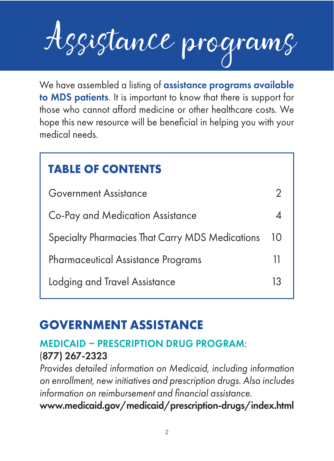Assistance programs We have assembled a listing of assistance programs available

to MDS patients. It is important to know that there is support for those who cannot afford medicine or other healthcare costs. We hope this new resource will be beneficial in helping you with your medical needs.

# **TABLE OF CONTENTS**

| <b>Government Assistance</b>                    |    |
|-------------------------------------------------|----|
| Co-Pay and Medication Assistance                |    |
| Specialty Pharmacies That Carry MDS Medications | 10 |
| <b>Pharmaceutical Assistance Programs</b>       | Ш  |
| Lodging and Travel Assistance                   | 13 |

# **GOVERNMENT ASSISTANCE**

# MEDICAID PRESCRIPTION DRUG PROGRAM: (877) 267-2323

Provides detailed information on Medicaid, including information on enrollment, new initiatives and prescription drugs. Also includes information on reimbursement and financial assistance. www.medicaid.gov/medicaid/prescription-drugs/index.html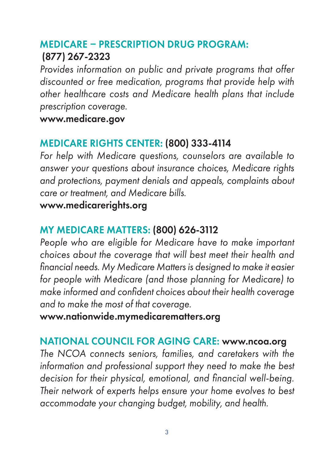# MEDICARE PRESCRIPTION DRUG PROGRAM: (877) 267-2323

Provides information on public and private programs that offer discounted or free medication, programs that provide help with other healthcare costs and Medicare health plans that include prescription coverage.

www.medicare.gov

## MEDICARE RIGHTS CENTER: (800) 333-4114

For help with Medicare questions, counselors are available to answer your questions about insurance choices, Medicare rights and protections, payment denials and appeals, complaints about care or treatment, and Medicare bills.

#### www.medicarerights.org

## MY MEDICARE MATTERS: (800) 626-3112

People who are eligible for Medicare have to make important choices about the coverage that will best meet their health and financial needs. My Medicare Matters is designed to make it easier for people with Medicare (and those planning for Medicare) to make informed and confident choices about their health coverage and to make the most of that coverage.

www.nationwide.mymedicarematters.org

## NATIONAL COUNCIL FOR AGING CARE: www.ncoa.org

The NCOA connects seniors, families, and caretakers with the information and professional support they need to make the best decision for their physical, emotional, and financial well-being. Their network of experts helps ensure your home evolves to best accommodate your changing budget, mobility, and health.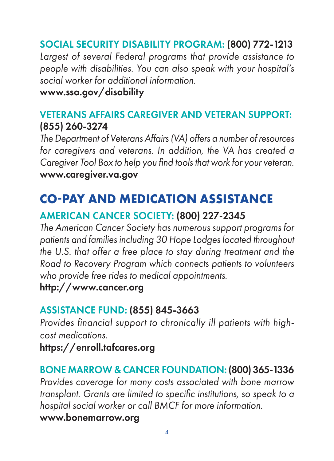# SOCIAL SECURITY DISABILITY PROGRAM: (800) 772-1213

Largest of several Federal programs that provide assistance to people with disabilities. You can also speak with your hospital's social worker for additional information.

#### www.ssa.gov/disability

## VETERANS AFFAIRS CAREGIVER AND VETERAN SUPPORT: (855) 260-3274

The Department of Veterans Affairs (VA) offers a number of resources for caregivers and veterans. In addition, the VA has created a Caregiver Tool Box to help you find tools that work for your veteran. www.caregiver.va.gov

# **COPAY AND MEDICATION ASSISTANCE**

# AMERICAN CANCER SOCIETY: (800) 227-2345

The American Cancer Society has numerous support programs for patients and families including 30 Hope Lodges located throughout the U.S. that offer a free place to stay during treatment and the Road to Recovery Program which connects patients to volunteers who provide free rides to medical appointments.

http://www.cancer.org

## ASSISTANCE FUND: (855) 845-3663

 Provides financial support to chronically ill patients with highcost medications.

https://enroll.tafcares.org

# BONE MARROW & CANCER FOUNDATION: (800) 365-1336

Provides coverage for many costs associated with bone marrow transplant. Grants are limited to specific institutions, so speak to a hospital social worker or call BMCF for more information.

www.bonemarrow.org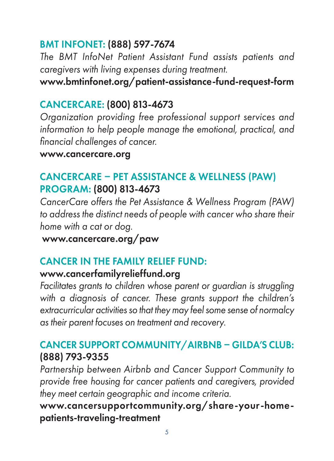## BMT INFONET: (888) 597-7674

The BMT InfoNet Patient Assistant Fund assists patients and caregivers with living expenses during treatment.

www.bmtinfonet.org/patient-assistance-fund-request-form

## CANCERCARE: (800) 813‑4673

Organization providing free professional support services and information to help people manage the emotional, practical, and financial challenges of cancer.

#### www.cancercare.org

## CANCERCARE PET ASSISTANCE & WELLNESS (PAW) PROGRAM: (800) 813-4673

CancerCare offers the Pet Assistance & Wellness Program (PAW) to address the distinct needs of people with cancer who share their home with a cat or dog.

www.cancercare.org/paw

# CANCER IN THE FAMILY RELIEF FUND:

## www.cancerfamilyrelieffund.org

Facilitates grants to children whose parent or guardian is struggling with a diagnosis of cancer. These grants support the children's extracurricular activities so that they may feel some sense of normalcy as their parent focuses on treatment and recovery.

## CANCER SUPPORT COMMUNITY/AIRBNB - GILDA'S CLUB: (888) 793-9355

Partnership between Airbnb and Cancer Support Community to provide free housing for cancer patients and caregivers, provided they meet certain geographic and income criteria.

www.cancersupportcommunity.org/share-your-homepatients-traveling-treatment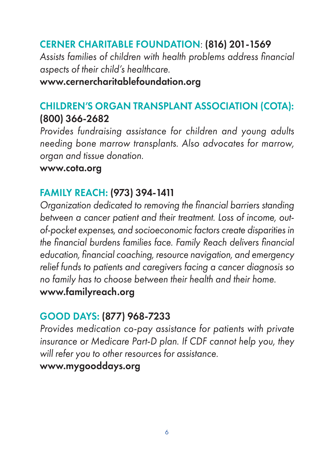## CERNER CHARITABLE FOUNDATION: (816) 201-1569

Assists families of children with health problems address financial aspects of their child's healthcare.

www.cernercharitablefoundation.org

## CHILDREN'S ORGAN TRANSPLANT ASSOCIATION (COTA): (800) 366-2682

Provides fundraising assistance for children and young adults needing bone marrow transplants. Also advocates for marrow, organ and tissue donation.

#### www.cota.org

## FAMILY REACH: (973) 394-1411

Organization dedicated to removing the financial barriers standing between a cancer patient and their treatment. Loss of income, outof-pocket expenses, and socioeconomic factors create disparities in the financial burdens families face. Family Reach delivers financial education, financial coaching, resource navigation, and emergency relief funds to patients and caregivers facing a cancer diagnosis so no family has to choose between their health and their home. www.familyreach.org

## GOOD DAYS: (877) 968-7233

Provides medication co-pay assistance for patients with private insurance or Medicare Part-D plan. If CDF cannot help you, they will refer you to other resources for assistance.

#### www.mygooddays.org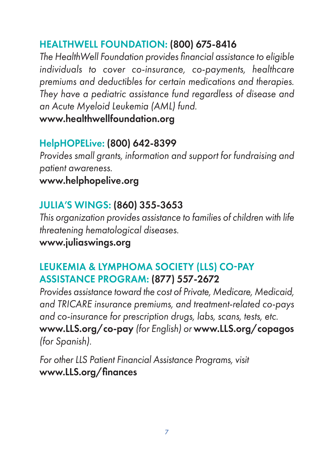## HEALTHWELL FOUNDATION: (800) 675-8416

The HealthWell Foundation provides financial assistance to eligible individuals to cover co-insurance, co-payments, healthcare premiums and deductibles for certain medications and therapies. They have a pediatric assistance fund regardless of disease and an Acute Myeloid Leukemia (AML) fund.

www.healthwellfoundation.org

## HelpHOPELive: (800) 642-8399

Provides small grants, information and support for fundraising and patient awareness.

www.helphopelive.org

## JULIA'S WINGS: (860) 355-3653

This organization provides assistance to families of children with life threatening hematological diseases.

www.juliaswings.org

## LEUKEMIA & LYMPHOMA SOCIETY (LLS) CO-PAY ASSISTANCE PROGRAM: (877) 557-2672

Provides assistance toward the cost of Private, Medicare, Medicaid, and TRICARE insurance premiums, and treatment-related co-pays and co-insurance for prescription drugs, labs, scans, tests, etc. www.LLS.org/co-pay (for English) or www.LLS.org/copagos (for Spanish).

For other LLS Patient Financial Assistance Programs, visit www.LLS.org/finances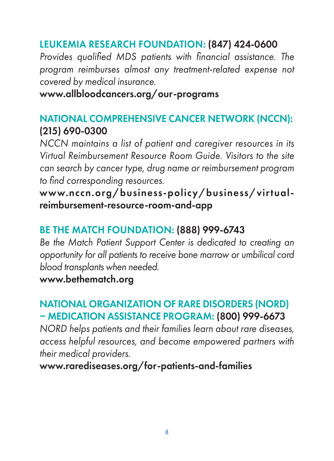## LEUKEMIA RESEARCH FOUNDATION: (847) 424-0600

Provides qualified MDS patients with financial assistance. The program reimburses almost any treatment-related expense not covered by medical insurance.

#### www.allbloodcancers.org/our-programs

## NATIONAL COMPREHENSIVE CANCER NETWORK (NCCN): (215) 690-0300

NCCN maintains a list of patient and caregiver resources in its Virtual Reimbursement Resource Room Guide. Visitors to the site can search by cancer type, drug name or reimbursement program to find corresponding resources.

www.nccn.org/business-policy/business/virtualreimbursement-resource-room-and-app

## BE THE MATCH FOUNDATION: (888) 999-6743

Be the Match Patient Support Center is dedicated to creating an opportunity for all patients to receive bone marrow or umbilical cord blood transplants when needed.

www.bethematch.org

## NATIONAL ORGANIZATION OF RARE DISORDERS (NORD) MEDICATION ASSISTANCE PROGRAM: (800) 999-6673

NORD helps patients and their families learn about rare diseases, access helpful resources, and become empowered partners with their medical providers.

www.rarediseases.org/for-patients-and-families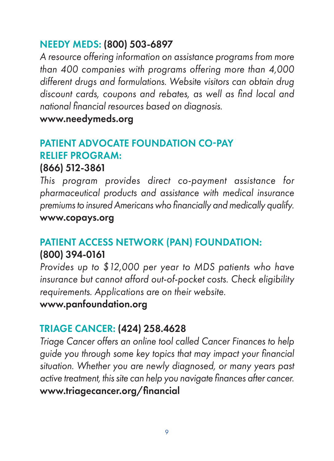## NEEDY MEDS: (800) 503-6897

A resource offering information on assistance programs from more than 400 companies with programs offering more than 4,000 different drugs and formulations. Website visitors can obtain drug discount cards, coupons and rebates, as well as find local and national financial resources based on diagnosis.

www.needymeds.org

## PATIENT ADVOCATE FOUNDATION CO-PAY RELIEF PROGRAM:

#### (866) 512-3861

This program provides direct co-payment assistance for pharmaceutical products and assistance with medical insurance premiums to insured Americans who financially and medically qualify.

www.copays.org

# PATIENT ACCESS NETWORK (PAN) FOUNDATION: (800) 394-0161

Provides up to \$12,000 per year to MDS patients who have insurance but cannot afford out-of-pocket costs. Check eligibility requirements. Applications are on their website.

www.panfoundation.org

## TRIAGE CANCER: (424) 258.4628

Triage Cancer offers an online tool called Cancer Finances to help guide you through some key topics that may impact your financial situation. Whether you are newly diagnosed, or many years past active treatment, this site can help you navigate finances after cancer. www.triagecancer.org/financial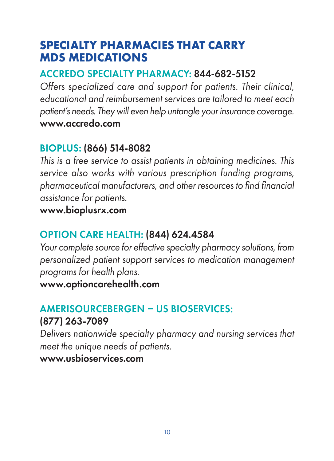# **SPECIALTY PHARMACIES THAT CARRY MDS MEDICATIONS**

## ACCREDO SPECIALTY PHARMACY: 844-682-5152

Offers specialized care and support for patients. Their clinical, educational and reimbursement services are tailored to meet each patient's needs. They will even help untangle your insurance coverage. www.accredo.com

## BIOPLUS: (866) 514-8082

This is a free service to assist patients in obtaining medicines. This service also works with various prescription funding programs, pharmaceutical manufacturers, and other resources to find financial assistance for patients.

www.bioplusrx.com

## OPTION CARE HEALTH: (844) 624.4584

Your complete source for effective specialty pharmacy solutions, from personalized patient support services to medication management programs for health plans.

www.optioncarehealth.com

## AMERISOURCEBERGEN - US BIOSERVICES: (877) 263-7089

Delivers nationwide specialty pharmacy and nursing services that meet the unique needs of patients.

www.usbioservices.com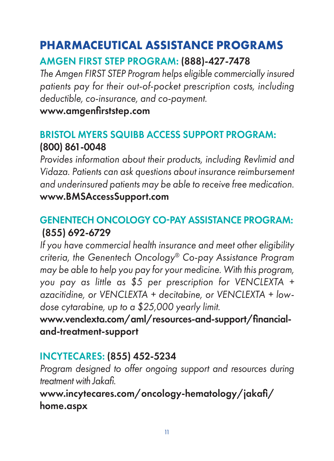# **PHARMACEUTICAL ASSISTANCE PROGRAMS**

## AMGEN FIRST STEP PROGRAM: (888)-427-7478

The Amgen FIRST STEP Program helps eligible commercially insured patients pay for their out-of-pocket prescription costs, including deductible, co-insurance, and co-payment.

#### www.amgenfirststep.com

## BRISTOL MYERS SQUIBB ACCESS SUPPORT PROGRAM: (800) 861-0048

Provides information about their products, including Revlimid and Vidaza. Patients can ask questions about insurance reimbursement and underinsured patients may be able to receive free medication. www.BMSAccessSupport.com

## GENENTECH ONCOLOGY COPAY ASSISTANCE PROGRAM: (855) 692-6729

If you have commercial health insurance and meet other eligibility criteria, the Genentech Oncology® Co-pay Assistance Program may be able to help you pay for your medicine. With this program, you pay as little as \$5 per prescription for VENCLEXTA + azacitidine, or VENCLEXTA + decitabine, or VENCLEXTA + lowdose cytarabine, up to a \$25,000 yearly limit.

www.venclexta.com/aml/resources-and-support/financialand-treatment-support

## INCYTECARES: (855) 452-5234

Program designed to offer ongoing support and resources during treatment with Jakafi.

www.incytecares.com/oncology-hematology/jakafi/ home.aspx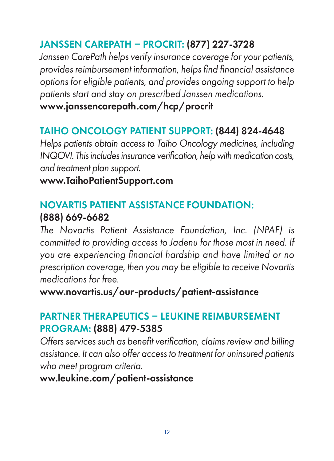# JANSSEN CAREPATH PROCRIT: (877) 227-3728

Janssen CarePath helps verify insurance coverage for your patients, provides reimbursement information, helps find financial assistance options for eligible patients, and provides ongoing support to help patients start and stay on prescribed Janssen medications. www.janssencarepath.com/hcp/procrit

## TAIHO ONCOLOGY PATIENT SUPPORT: (844) 824-4648

Helps patients obtain access to Taiho Oncology medicines, including INQOVI. This includes insurance verification, help with medication costs, and treatment plan support.

www.TaihoPatientSupport.com

## NOVARTIS PATIENT ASSISTANCE FOUNDATION: (888) 669-6682

The Novartis Patient Assistance Foundation, Inc. (NPAF) is committed to providing access to Jadenu for those most in need. If you are experiencing financial hardship and have limited or no prescription coverage, then you may be eligible to receive Novartis medications for free.

www.novartis.us/our-products/patient-assistance

## PARTNER THERAPEUTICS - I FUKINE REIMBURSEMENT PROGRAM: (888) 479-5385

Offers services such as benefit verification, claims review and billing assistance. It can also offer access to treatment for uninsured patients who meet program criteria.

ww.leukine.com/patient-assistance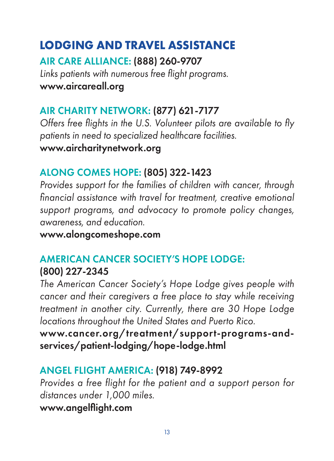# **LODGING AND TRAVEL ASSISTANCE**

AIR CARE ALLIANCE: (888) 260-9707 Links patients with numerous free flight programs. www.aircareall.org

# AIR CHARITY NETWORK: (877) 621-7177

Offers free flights in the U.S. Volunteer pilots are available to fly patients in need to specialized healthcare facilities. www.aircharitynetwork.org

## ALONG COMES HOPE: (805) 322-1423

Provides support for the families of children with cancer, through financial assistance with travel for treatment, creative emotional support programs, and advocacy to promote policy changes, awareness, and education.

www.alongcomeshope.com

# AMERICAN CANCER SOCIETY'S HOPE LODGE: (800) 227-2345

The American Cancer Society's Hope Lodge gives people with cancer and their caregivers a free place to stay while receiving treatment in another city. Currently, there are 30 Hope Lodge locations throughout the United States and Puerto Rico.

www.cancer.org/treatment/support-programs-andservices/patient-lodging/hope-lodge.html

# ANGEL FLIGHT AMERICA: (918) 749-8992

Provides a free flight for the patient and a support person for distances under 1,000 miles. www.angelflight.com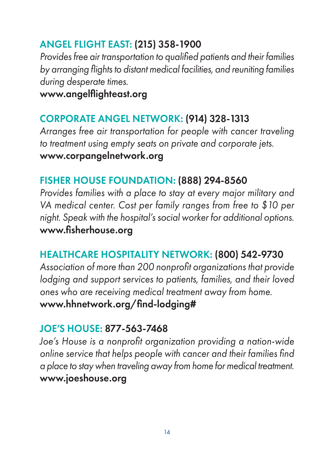## ANGEL FLIGHT EAST: (215) 358-1900

Provides free air transportation to qualified patients and their families by arranging flights to distant medical facilities, and reuniting families during desperate times.

www.angelflighteast.org

## CORPORATE ANGEL NETWORK: (914) 328-1313

Arranges free air transportation for people with cancer traveling to treatment using empty seats on private and corporate jets. www.corpangelnetwork.org

#### FISHER HOUSE FOUNDATION: (888) 294-8560

Provides families with a place to stay at every major military and VA medical center. Cost per family ranges from free to \$10 per night. Speak with the hospital's social worker for additional options. www.fisherhouse.org

## HEALTHCARE HOSPITALITY NETWORK: (800) 542-9730

Association of more than 200 nonprofit organizations that provide lodging and support services to patients, families, and their loved ones who are receiving medical treatment away from home. www.hhnetwork.org/find-lodging#

#### JOE'S HOUSE: 877-563-7468

Joe's House is a nonprofit organization providing a nation-wide online service that helps people with cancer and their families find a place to stay when traveling away from home for medical treatment. www.joeshouse.org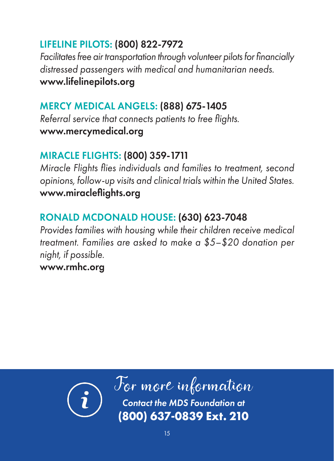## LIFELINE PILOTS: (800) 822-7972

Facilitates free air transportation through volunteer pilots for financially distressed passengers with medical and humanitarian needs. www.lifelinepilots.org

## MERCY MEDICAL ANGELS: (888) 675-1405

Referral service that connects patients to free flights. www.mercymedical.org

# MIRACLE FLIGHTS: (800) 359-1711

Miracle Flights flies individuals and families to treatment, second opinions, follow-up visits and clinical trials within the United States. www.miracleflights.org

# RONALD MCDONALD HOUSE: (630) 623-7048

Provides families with housing while their children receive medical treatment. Families are asked to make a \$5–\$20 donation per night, if possible.

## www.rmhc.org



For the MDS Foundation at **(800) 637-0839 Ext. 210**